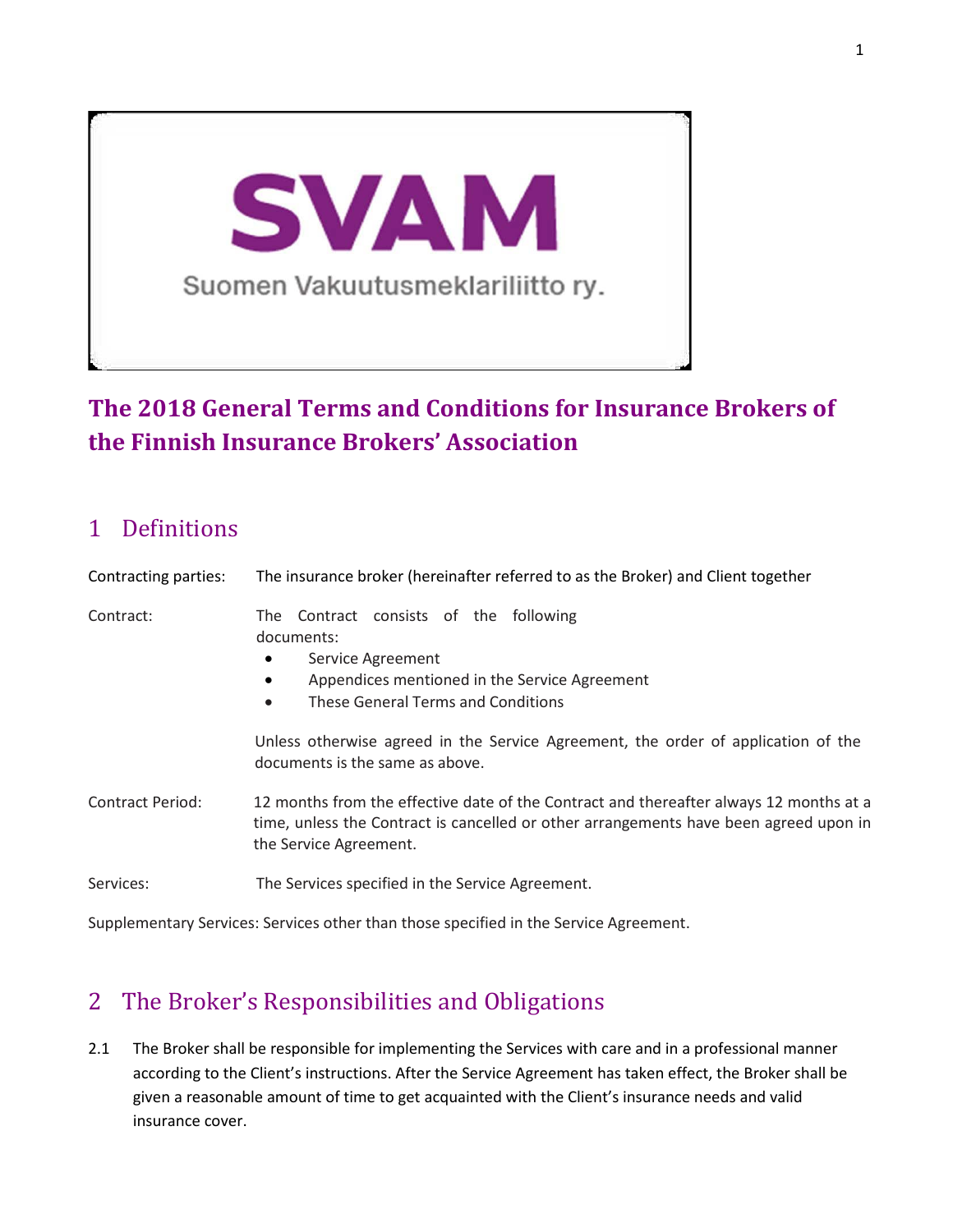

# **The 2018 General Terms and Conditions for Insurance Brokers of the Finnish Insurance Brokers' Association**

### 1 Definitions

| Contracting parties: | The insurance broker (hereinafter referred to as the Broker) and Client together                                                                                                                          |
|----------------------|-----------------------------------------------------------------------------------------------------------------------------------------------------------------------------------------------------------|
| Contract:            | The Contract consists of the following<br>documents:<br>Service Agreement<br>٠<br>Appendices mentioned in the Service Agreement<br>These General Terms and Conditions<br>$\bullet$                        |
|                      | Unless otherwise agreed in the Service Agreement, the order of application of the<br>documents is the same as above.                                                                                      |
| Contract Period:     | 12 months from the effective date of the Contract and thereafter always 12 months at a<br>time, unless the Contract is cancelled or other arrangements have been agreed upon in<br>the Service Agreement. |
| Services:            | The Services specified in the Service Agreement.                                                                                                                                                          |

Supplementary Services: Services other than those specified in the Service Agreement.

# 2 The Broker's Responsibilities and Obligations

2.1 The Broker shall be responsible for implementing the Services with care and in a professional manner according to the Client's instructions. After the Service Agreement has taken effect, the Broker shall be given a reasonable amount of time to get acquainted with the Client's insurance needs and valid insurance cover.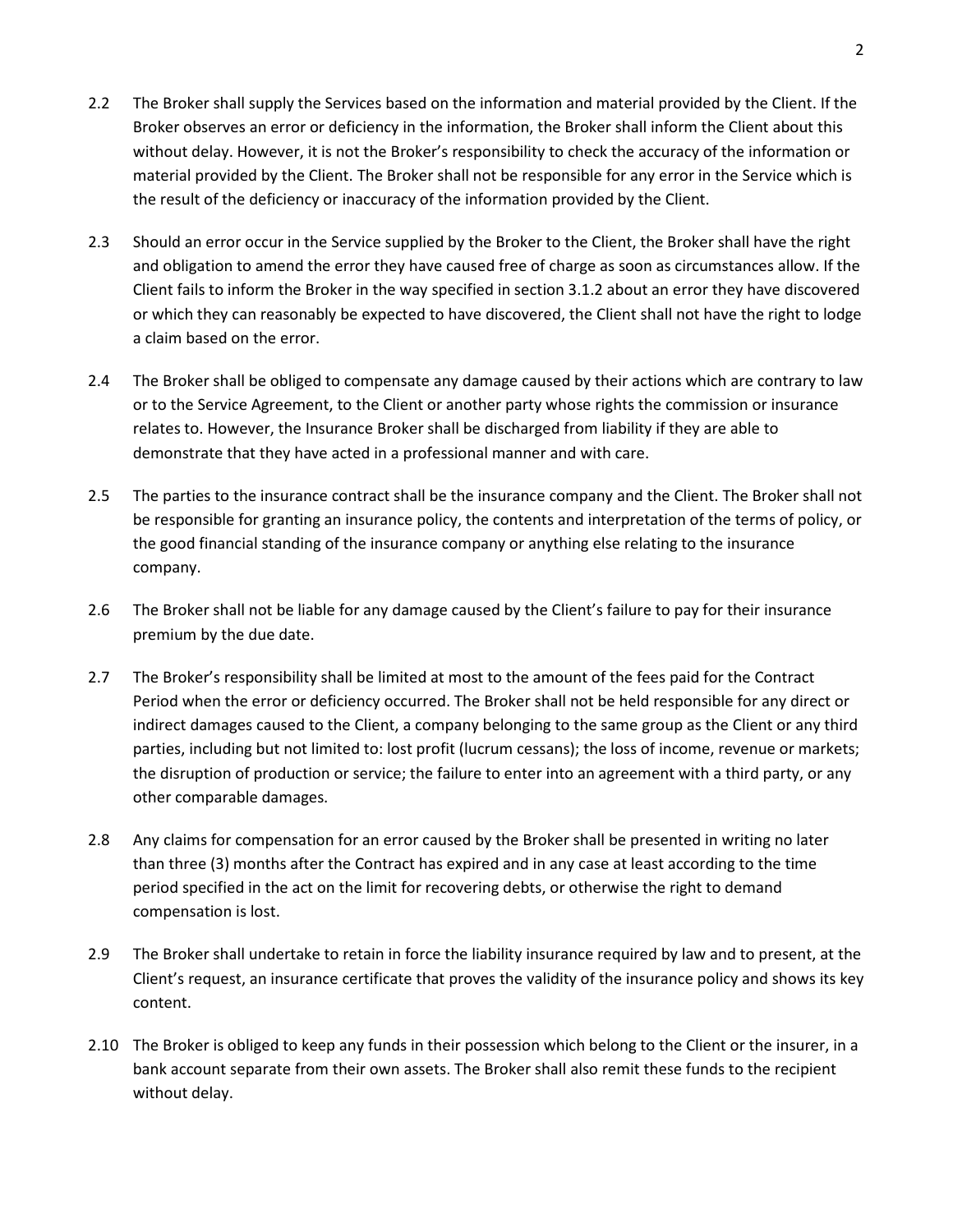- 2.2 The Broker shall supply the Services based on the information and material provided by the Client. If the Broker observes an error or deficiency in the information, the Broker shall inform the Client about this without delay. However, it is not the Broker's responsibility to check the accuracy of the information or material provided by the Client. The Broker shall not be responsible for any error in the Service which is the result of the deficiency or inaccuracy of the information provided by the Client.
- 2.3 Should an error occur in the Service supplied by the Broker to the Client, the Broker shall have the right and obligation to amend the error they have caused free of charge as soon as circumstances allow. If the Client fails to inform the Broker in the way specified in section 3.1.2 about an error they have discovered or which they can reasonably be expected to have discovered, the Client shall not have the right to lodge a claim based on the error.
- 2.4 The Broker shall be obliged to compensate any damage caused by their actions which are contrary to law or to the Service Agreement, to the Client or another party whose rights the commission or insurance relates to. However, the Insurance Broker shall be discharged from liability if they are able to demonstrate that they have acted in a professional manner and with care.
- 2.5 The parties to the insurance contract shall be the insurance company and the Client. The Broker shall not be responsible for granting an insurance policy, the contents and interpretation of the terms of policy, or the good financial standing of the insurance company or anything else relating to the insurance company.
- 2.6 The Broker shall not be liable for any damage caused by the Client's failure to pay for their insurance premium by the due date.
- 2.7 The Broker's responsibility shall be limited at most to the amount of the fees paid for the Contract Period when the error or deficiency occurred. The Broker shall not be held responsible for any direct or indirect damages caused to the Client, a company belonging to the same group as the Client or any third parties, including but not limited to: lost profit (lucrum cessans); the loss of income, revenue or markets; the disruption of production or service; the failure to enter into an agreement with a third party, or any other comparable damages.
- 2.8 Any claims for compensation for an error caused by the Broker shall be presented in writing no later than three (3) months after the Contract has expired and in any case at least according to the time period specified in the act on the limit for recovering debts, or otherwise the right to demand compensation is lost.
- 2.9 The Broker shall undertake to retain in force the liability insurance required by law and to present, at the Client's request, an insurance certificate that proves the validity of the insurance policy and shows its key content.
- 2.10 The Broker is obliged to keep any funds in their possession which belong to the Client or the insurer, in a bank account separate from their own assets. The Broker shall also remit these funds to the recipient without delay.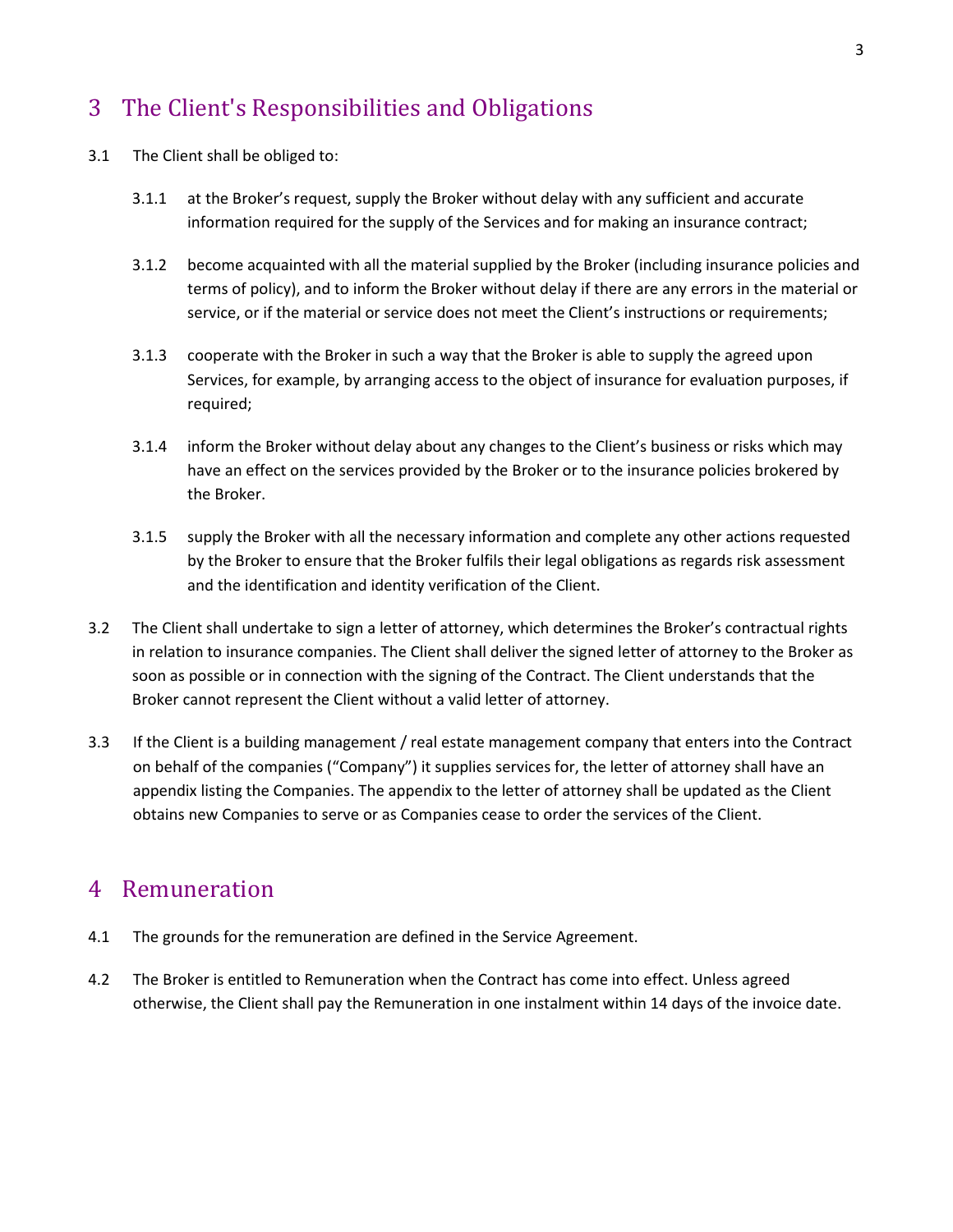### 3 The Client's Responsibilities and Obligations

- 3.1 The Client shall be obliged to:
	- 3.1.1 at the Broker's request, supply the Broker without delay with any sufficient and accurate information required for the supply of the Services and for making an insurance contract;
	- 3.1.2 become acquainted with all the material supplied by the Broker (including insurance policies and terms of policy), and to inform the Broker without delay if there are any errors in the material or service, or if the material or service does not meet the Client's instructions or requirements;
	- 3.1.3 cooperate with the Broker in such a way that the Broker is able to supply the agreed upon Services, for example, by arranging access to the object of insurance for evaluation purposes, if required;
	- 3.1.4 inform the Broker without delay about any changes to the Client's business or risks which may have an effect on the services provided by the Broker or to the insurance policies brokered by the Broker.
	- 3.1.5 supply the Broker with all the necessary information and complete any other actions requested by the Broker to ensure that the Broker fulfils their legal obligations as regards risk assessment and the identification and identity verification of the Client.
- 3.2 The Client shall undertake to sign a letter of attorney, which determines the Broker's contractual rights in relation to insurance companies. The Client shall deliver the signed letter of attorney to the Broker as soon as possible or in connection with the signing of the Contract. The Client understands that the Broker cannot represent the Client without a valid letter of attorney.
- 3.3 If the Client is a building management / real estate management company that enters into the Contract on behalf of the companies ("Company") it supplies services for, the letter of attorney shall have an appendix listing the Companies. The appendix to the letter of attorney shall be updated as the Client obtains new Companies to serve or as Companies cease to order the services of the Client.

#### 4 Remuneration

- 4.1 The grounds for the remuneration are defined in the Service Agreement.
- 4.2 The Broker is entitled to Remuneration when the Contract has come into effect. Unless agreed otherwise, the Client shall pay the Remuneration in one instalment within 14 days of the invoice date.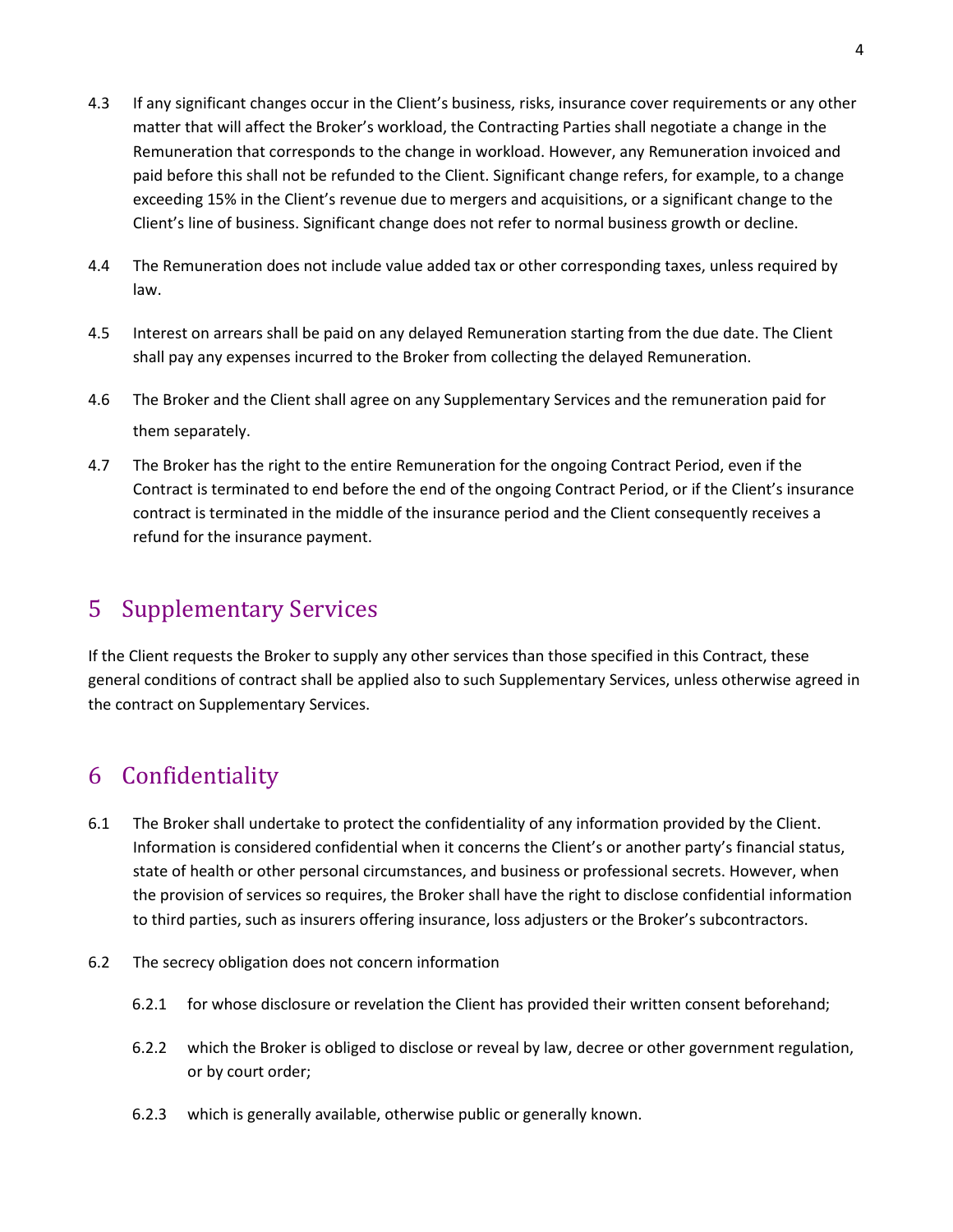- 4.3 If any significant changes occur in the Client's business, risks, insurance cover requirements or any other matter that will affect the Broker's workload, the Contracting Parties shall negotiate a change in the Remuneration that corresponds to the change in workload. However, any Remuneration invoiced and paid before this shall not be refunded to the Client. Significant change refers, for example, to a change exceeding 15% in the Client's revenue due to mergers and acquisitions, or a significant change to the Client's line of business. Significant change does not refer to normal business growth or decline.
- 4.4 The Remuneration does not include value added tax or other corresponding taxes, unless required by law.
- 4.5 Interest on arrears shall be paid on any delayed Remuneration starting from the due date. The Client shall pay any expenses incurred to the Broker from collecting the delayed Remuneration.
- 4.6 The Broker and the Client shall agree on any Supplementary Services and the remuneration paid for them separately.
- 4.7 The Broker has the right to the entire Remuneration for the ongoing Contract Period, even if the Contract is terminated to end before the end of the ongoing Contract Period, or if the Client's insurance contract is terminated in the middle of the insurance period and the Client consequently receives a refund for the insurance payment.

## 5 Supplementary Services

If the Client requests the Broker to supply any other services than those specified in this Contract, these general conditions of contract shall be applied also to such Supplementary Services, unless otherwise agreed in the contract on Supplementary Services.

# 6 Confidentiality

- 6.1 The Broker shall undertake to protect the confidentiality of any information provided by the Client. Information is considered confidential when it concerns the Client's or another party's financial status, state of health or other personal circumstances, and business or professional secrets. However, when the provision of services so requires, the Broker shall have the right to disclose confidential information to third parties, such as insurers offering insurance, loss adjusters or the Broker's subcontractors.
- 6.2 The secrecy obligation does not concern information
	- 6.2.1 for whose disclosure or revelation the Client has provided their written consent beforehand;
	- 6.2.2 which the Broker is obliged to disclose or reveal by law, decree or other government regulation, or by court order;
	- 6.2.3 which is generally available, otherwise public or generally known.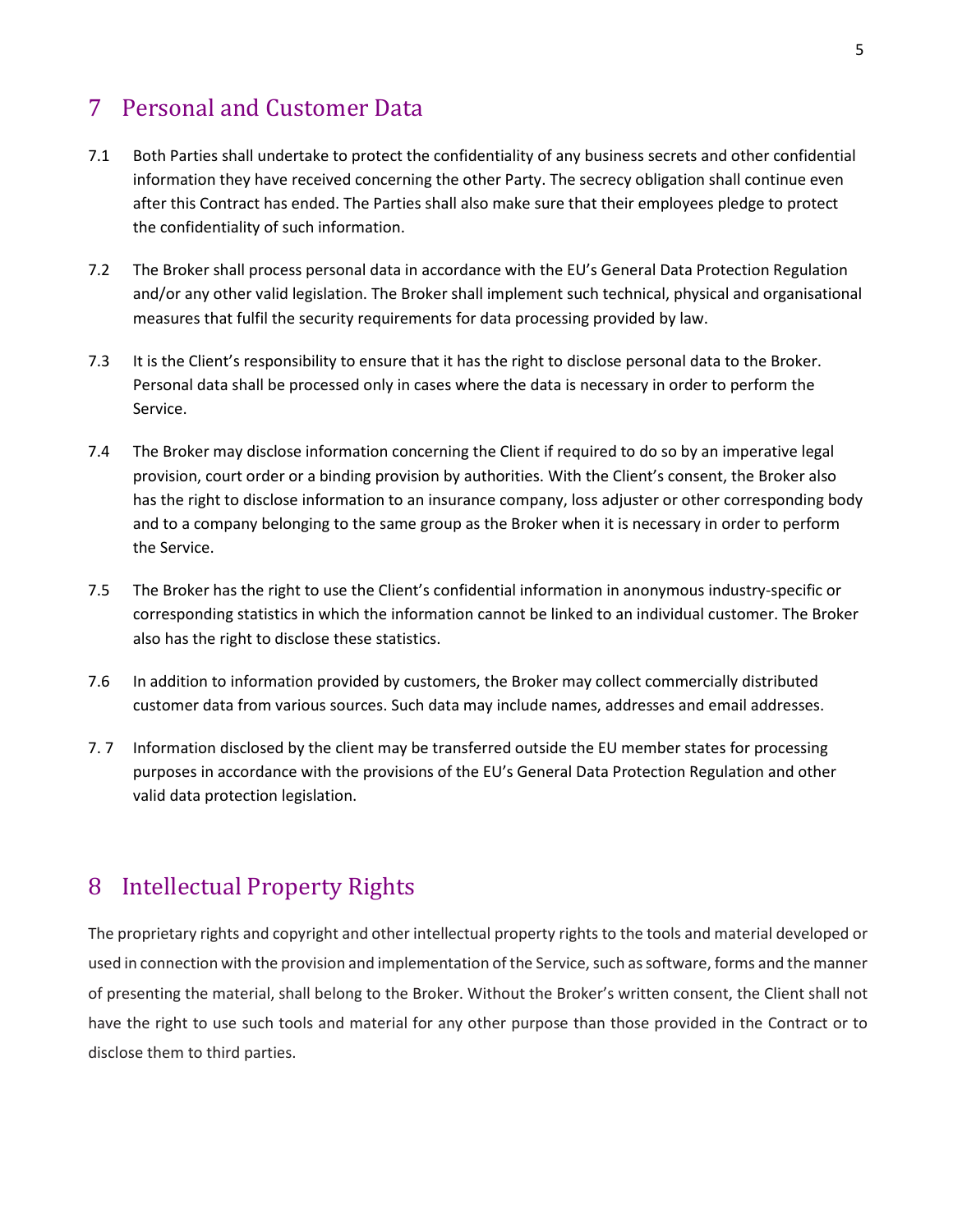### 7 Personal and Customer Data

- 7.1 Both Parties shall undertake to protect the confidentiality of any business secrets and other confidential information they have received concerning the other Party. The secrecy obligation shall continue even after this Contract has ended. The Parties shall also make sure that their employees pledge to protect the confidentiality of such information.
- 7.2 The Broker shall process personal data in accordance with the EU's General Data Protection Regulation and/or any other valid legislation. The Broker shall implement such technical, physical and organisational measures that fulfil the security requirements for data processing provided by law.
- 7.3 It is the Client's responsibility to ensure that it has the right to disclose personal data to the Broker. Personal data shall be processed only in cases where the data is necessary in order to perform the Service.
- 7.4 The Broker may disclose information concerning the Client if required to do so by an imperative legal provision, court order or a binding provision by authorities. With the Client's consent, the Broker also has the right to disclose information to an insurance company, loss adjuster or other corresponding body and to a company belonging to the same group as the Broker when it is necessary in order to perform the Service.
- 7.5 The Broker has the right to use the Client's confidential information in anonymous industry-specific or corresponding statistics in which the information cannot be linked to an individual customer. The Broker also has the right to disclose these statistics.
- 7.6 In addition to information provided by customers, the Broker may collect commercially distributed customer data from various sources. Such data may include names, addresses and email addresses.
- 7. 7 Information disclosed by the client may be transferred outside the EU member states for processing purposes in accordance with the provisions of the EU's General Data Protection Regulation and other valid data protection legislation.

### 8 Intellectual Property Rights

The proprietary rights and copyright and other intellectual property rights to the tools and material developed or used in connection with the provision and implementation of the Service, such as software, forms and the manner of presenting the material, shall belong to the Broker. Without the Broker's written consent, the Client shall not have the right to use such tools and material for any other purpose than those provided in the Contract or to disclose them to third parties.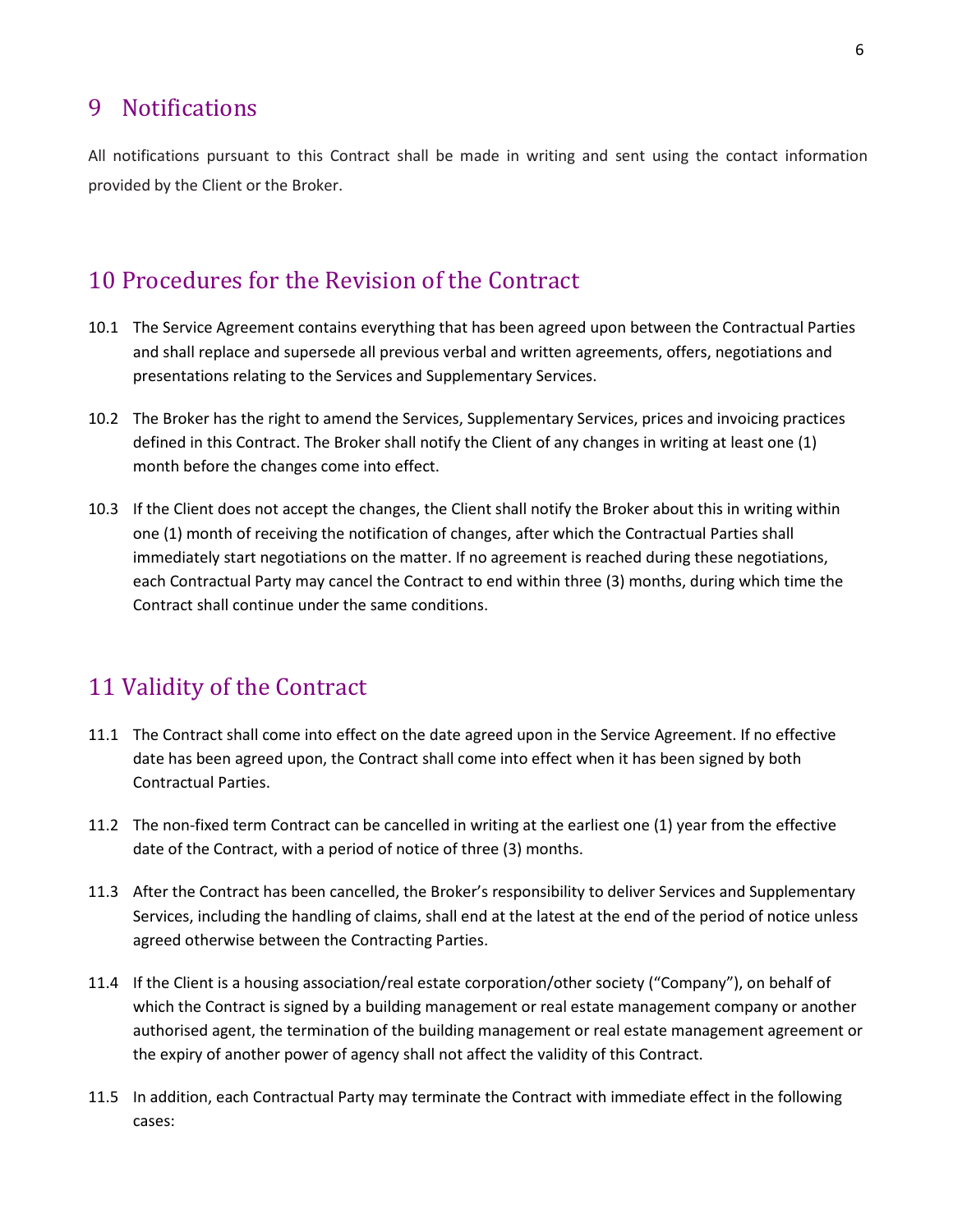#### 9 Notifications

All notifications pursuant to this Contract shall be made in writing and sent using the contact information provided by the Client or the Broker.

#### 10 Procedures for the Revision of the Contract

- 10.1 The Service Agreement contains everything that has been agreed upon between the Contractual Parties and shall replace and supersede all previous verbal and written agreements, offers, negotiations and presentations relating to the Services and Supplementary Services.
- 10.2 The Broker has the right to amend the Services, Supplementary Services, prices and invoicing practices defined in this Contract. The Broker shall notify the Client of any changes in writing at least one (1) month before the changes come into effect.
- 10.3 If the Client does not accept the changes, the Client shall notify the Broker about this in writing within one (1) month of receiving the notification of changes, after which the Contractual Parties shall immediately start negotiations on the matter. If no agreement is reached during these negotiations, each Contractual Party may cancel the Contract to end within three (3) months, during which time the Contract shall continue under the same conditions.

#### 11 Validity of the Contract

- 11.1 The Contract shall come into effect on the date agreed upon in the Service Agreement. If no effective date has been agreed upon, the Contract shall come into effect when it has been signed by both Contractual Parties.
- 11.2 The non-fixed term Contract can be cancelled in writing at the earliest one (1) year from the effective date of the Contract, with a period of notice of three (3) months.
- 11.3 After the Contract has been cancelled, the Broker's responsibility to deliver Services and Supplementary Services, including the handling of claims, shall end at the latest at the end of the period of notice unless agreed otherwise between the Contracting Parties.
- 11.4 If the Client is a housing association/real estate corporation/other society ("Company"), on behalf of which the Contract is signed by a building management or real estate management company or another authorised agent, the termination of the building management or real estate management agreement or the expiry of another power of agency shall not affect the validity of this Contract.
- 11.5 In addition, each Contractual Party may terminate the Contract with immediate effect in the following cases: